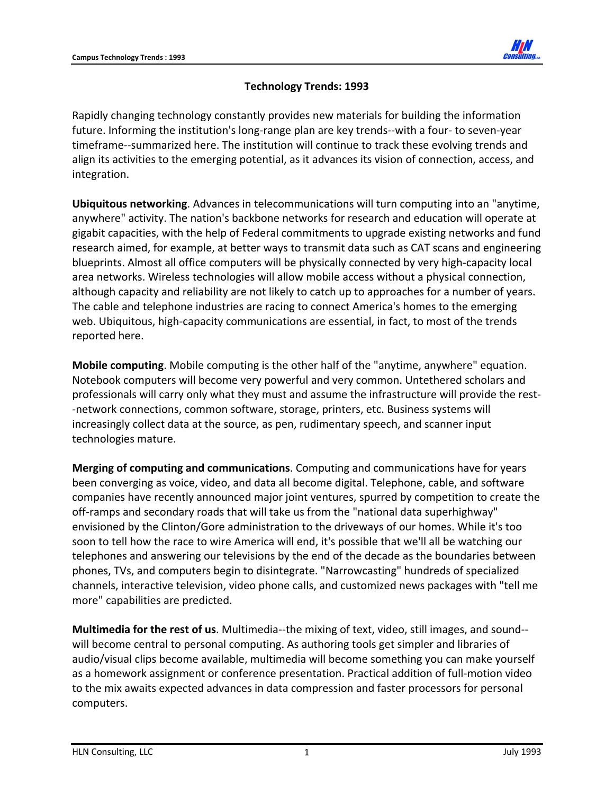

## **Technology Trends: 1993**

Rapidly changing technology constantly provides new materials for building the information future. Informing the institution's long-range plan are key trends--with a four- to seven-year timeframe‐‐summarized here. The institution will continue to track these evolving trends and align its activities to the emerging potential, as it advances its vision of connection, access, and integration.

**Ubiquitous networking**. Advances in telecommunications will turn computing into an "anytime, anywhere" activity. The nation's backbone networks for research and education will operate at gigabit capacities, with the help of Federal commitments to upgrade existing networks and fund research aimed, for example, at better ways to transmit data such as CAT scans and engineering blueprints. Almost all office computers will be physically connected by very high‐capacity local area networks. Wireless technologies will allow mobile access without a physical connection, although capacity and reliability are not likely to catch up to approaches for a number of years. The cable and telephone industries are racing to connect America's homes to the emerging web. Ubiquitous, high-capacity communications are essential, in fact, to most of the trends reported here.

**Mobile computing**. Mobile computing is the other half of the "anytime, anywhere" equation. Notebook computers will become very powerful and very common. Untethered scholars and professionals will carry only what they must and assume the infrastructure will provide the rest‐ ‐network connections, common software, storage, printers, etc. Business systems will increasingly collect data at the source, as pen, rudimentary speech, and scanner input technologies mature.

**Merging of computing and communications**. Computing and communications have for years been converging as voice, video, and data all become digital. Telephone, cable, and software companies have recently announced major joint ventures, spurred by competition to create the off-ramps and secondary roads that will take us from the "national data superhighway" envisioned by the Clinton/Gore administration to the driveways of our homes. While it's too soon to tell how the race to wire America will end, it's possible that we'll all be watching our telephones and answering our televisions by the end of the decade as the boundaries between phones, TVs, and computers begin to disintegrate. "Narrowcasting" hundreds of specialized channels, interactive television, video phone calls, and customized news packages with "tell me more" capabilities are predicted.

**Multimedia for the rest of us**. Multimedia‐‐the mixing of text, video, still images, and sound‐‐ will become central to personal computing. As authoring tools get simpler and libraries of audio/visual clips become available, multimedia will become something you can make yourself as a homework assignment or conference presentation. Practical addition of full‐motion video to the mix awaits expected advances in data compression and faster processors for personal computers.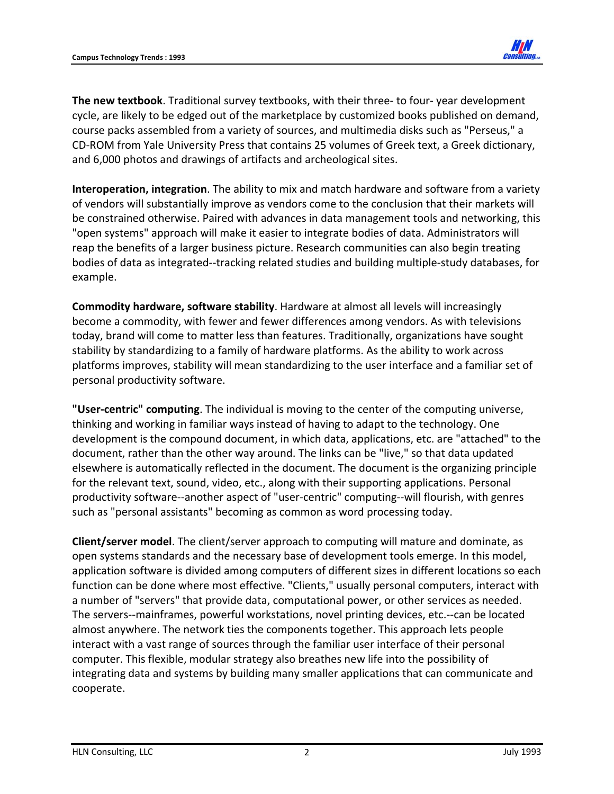

**The new textbook**. Traditional survey textbooks, with their three‐ to four‐ year development cycle, are likely to be edged out of the marketplace by customized books published on demand, course packs assembled from a variety of sources, and multimedia disks such as "Perseus," a CD‐ROM from Yale University Press that contains 25 volumes of Greek text, a Greek dictionary, and 6,000 photos and drawings of artifacts and archeological sites.

**Interoperation, integration**. The ability to mix and match hardware and software from a variety of vendors will substantially improve as vendors come to the conclusion that their markets will be constrained otherwise. Paired with advances in data management tools and networking, this "open systems" approach will make it easier to integrate bodies of data. Administrators will reap the benefits of a larger business picture. Research communities can also begin treating bodies of data as integrated‐‐tracking related studies and building multiple‐study databases, for example.

**Commodity hardware, software stability**. Hardware at almost all levels will increasingly become a commodity, with fewer and fewer differences among vendors. As with televisions today, brand will come to matter less than features. Traditionally, organizations have sought stability by standardizing to a family of hardware platforms. As the ability to work across platforms improves, stability will mean standardizing to the user interface and a familiar set of personal productivity software.

**"User‐centric" computing**. The individual is moving to the center of the computing universe, thinking and working in familiar ways instead of having to adapt to the technology. One development is the compound document, in which data, applications, etc. are "attached" to the document, rather than the other way around. The links can be "live," so that data updated elsewhere is automatically reflected in the document. The document is the organizing principle for the relevant text, sound, video, etc., along with their supporting applications. Personal productivity software‐‐another aspect of "user‐centric" computing‐‐will flourish, with genres such as "personal assistants" becoming as common as word processing today.

**Client/server model**. The client/server approach to computing will mature and dominate, as open systems standards and the necessary base of development tools emerge. In this model, application software is divided among computers of different sizes in different locations so each function can be done where most effective. "Clients," usually personal computers, interact with a number of "servers" that provide data, computational power, or other services as needed. The servers‐‐mainframes, powerful workstations, novel printing devices, etc.‐‐can be located almost anywhere. The network ties the components together. This approach lets people interact with a vast range of sources through the familiar user interface of their personal computer. This flexible, modular strategy also breathes new life into the possibility of integrating data and systems by building many smaller applications that can communicate and cooperate.